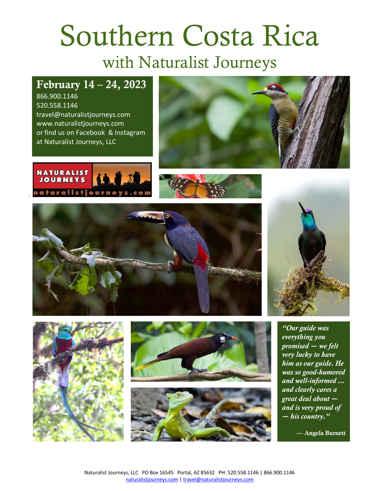# Southern Costa Rica with Naturalist Journeys

## February 14 – 24, 2023

866.900.1146 520.558.1146 travel@naturalistjourneys.com www.naturalistjourneys.com or find us on Facebook & Instagram at Naturalist Journeys, LLC















*"Our guide was everything you promised ― we felt very lucky to have him as our guide. He was so good-humored and well-informed ... and clearly cares a great deal about ― and is very proud of ― his country."*

— Angela Burnett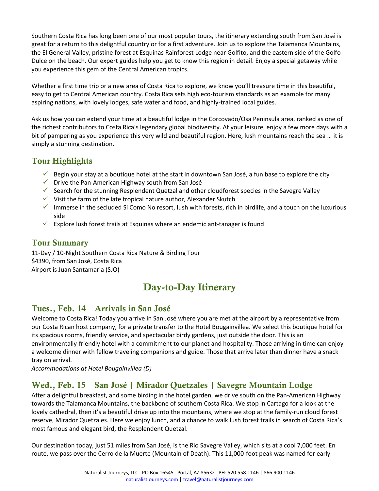Southern Costa Rica has long been one of our most popular tours, the itinerary extending south from San José is great for a return to this delightful country or for a first adventure. Join us to explore the Talamanca Mountains, the El General Valley, pristine forest at Esquinas Rainforest Lodge near Golfito, and the eastern side of the Golfo Dulce on the beach. Our expert guides help you get to know this region in detail. Enjoy a special getaway while you experience this gem of the Central American tropics.

Whether a first time trip or a new area of Costa Rica to explore, we know you'll treasure time in this beautiful, easy to get to Central American country. Costa Rica sets high eco-tourism standards as an example for many aspiring nations, with lovely lodges, safe water and food, and highly-trained local guides.

Ask us how you can extend your time at a beautiful lodge in the Corcovado/Osa Peninsula area, ranked as one of the richest contributors to Costa Rica's legendary global biodiversity. At your leisure, enjoy a few more days with a bit of pampering as you experience this very wild and beautiful region. Here, lush mountains reach the sea … it is simply a stunning destination.

#### Tour Highlights

- $\checkmark$  Begin your stay at a boutique hotel at the start in downtown San José, a fun base to explore the city
- $\checkmark$  Drive the Pan-American Highway south from San José
- $\checkmark$  Search for the stunning Resplendent Quetzal and other cloudforest species in the Savegre Valley
- $\checkmark$  Visit the farm of the late tropical nature author, Alexander Skutch
- $\checkmark$  Immerse in the secluded Si Como No resort, lush with forests, rich in birdlife, and a touch on the luxurious side
- $\checkmark$  Explore lush forest trails at Esquinas where an endemic ant-tanager is found

#### Tour Summary

11-Day / 10-Night Southern Costa Rica Nature & Birding Tour \$4390, from San José, Costa Rica Airport is Juan Santamaria (SJO)

## Day-to-Day Itinerary

#### Tues., Feb. 14 Arrivals in San José

Welcome to Costa Rica! Today you arrive in San José where you are met at the airport by a representative from our Costa Rican host company, for a private transfer to the Hotel Bougainvillea. We select this boutique hotel for its spacious rooms, friendly service, and spectacular birdy gardens, just outside the door. This is an environmentally-friendly hotel with a commitment to our planet and hospitality. Those arriving in time can enjoy a welcome dinner with fellow traveling companions and guide. Those that arrive later than dinner have a snack tray on arrival.

*Accommodations at Hotel Bougainvillea (D)*

#### Wed., Feb. 15 San José | Mirador Quetzales | Savegre Mountain Lodge

After a delightful breakfast, and some birding in the hotel garden, we drive south on the Pan-American Highway towards the Talamanca Mountains, the backbone of southern Costa Rica. We stop in Cartago for a look at the lovely cathedral, then it's a beautiful drive up into the mountains, where we stop at the family-run cloud forest reserve, Mirador Quetzales. Here we enjoy lunch, and a chance to walk lush forest trails in search of Costa Rica's most famous and elegant bird, the Resplendent Quetzal.

Our destination today, just 51 miles from San José, is the Rio Savegre Valley, which sits at a cool 7,000 feet. En route, we pass over the Cerro de la Muerte (Mountain of Death). This 11,000-foot peak was named for early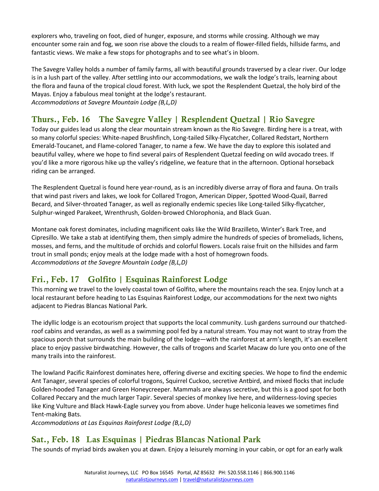explorers who, traveling on foot, died of hunger, exposure, and storms while crossing. Although we may encounter some rain and fog, we soon rise above the clouds to a realm of flower-filled fields, hillside farms, and fantastic views. We make a few stops for photographs and to see what's in bloom.

The Savegre Valley holds a number of family farms, all with beautiful grounds traversed by a clear river. Our lodge is in a lush part of the valley. After settling into our accommodations, we walk the lodge's trails, learning about the flora and fauna of the tropical cloud forest. With luck, we spot the Resplendent Quetzal, the holy bird of the Mayas. Enjoy a fabulous meal tonight at the lodge's restaurant. *Accommodations at Savegre Mountain Lodge (B,L,D)* 

#### Thurs., Feb. 16 The Savegre Valley | Resplendent Quetzal | Rio Savegre

Today our guides lead us along the clear mountain stream known as the Rio Savegre. Birding here is a treat, with so many colorful species: White-naped Brushfinch, Long-tailed Silky-Flycatcher, Collared Redstart, Northern Emerald-Toucanet, and Flame-colored Tanager, to name a few. We have the day to explore this isolated and beautiful valley, where we hope to find several pairs of Resplendent Quetzal feeding on wild avocado trees. If you'd like a more rigorous hike up the valley's ridgeline, we feature that in the afternoon. Optional horseback riding can be arranged.

The Resplendent Quetzal is found here year-round, as is an incredibly diverse array of flora and fauna. On trails that wind past rivers and lakes, we look for Collared Trogon, American Dipper, Spotted Wood-Quail, Barred Becard, and Silver-throated Tanager, as well as regionally endemic species like Long-tailed Silky-flycatcher, Sulphur-winged Parakeet, Wrenthrush, Golden-browed Chlorophonia, and Black Guan.

Montane oak forest dominates, including magnificent oaks like the Wild Brazilleto, Winter's Bark Tree, and Cipresillo. We take a stab at identifying them, then simply admire the hundreds of species of bromeliads, lichens, mosses, and ferns, and the multitude of orchids and colorful flowers. Locals raise fruit on the hillsides and farm trout in small ponds; enjoy meals at the lodge made with a host of homegrown foods. *Accommodations at the Savegre Mountain Lodge (B,L,D)*

#### Fri., Feb. 17 Golfito | Esquinas Rainforest Lodge

This morning we travel to the lovely coastal town of Golfito, where the mountains reach the sea. Enjoy lunch at a local restaurant before heading to Las Esquinas Rainforest Lodge, our accommodations for the next two nights adjacent to Piedras Blancas National Park.

The idyllic lodge is an ecotourism project that supports the local community. Lush gardens surround our thatchedroof cabins and verandas, as well as a swimming pool fed by a natural stream. You may not want to stray from the spacious porch that surrounds the main building of the lodge―with the rainforest at arm's length, it's an excellent place to enjoy passive birdwatching. However, the calls of trogons and Scarlet Macaw do lure you onto one of the many trails into the rainforest.

The lowland Pacific Rainforest dominates here, offering diverse and exciting species. We hope to find the endemic Ant Tanager, several species of colorful trogons, Squirrel Cuckoo, secretive Antbird, and mixed flocks that include Golden-hooded Tanager and Green Honeycreeper. Mammals are always secretive, but this is a good spot for both Collared Peccary and the much larger Tapir. Several species of monkey live here, and wilderness-loving species like King Vulture and Black Hawk-Eagle survey you from above. Under huge heliconia leaves we sometimes find Tent-making Bats.

*Accommodations at Las Esquinas Rainforest Lodge (B,L,D)*

#### Sat., Feb. 18 Las Esquinas | Piedras Blancas National Park

The sounds of myriad birds awaken you at dawn. Enjoy a leisurely morning in your cabin, or opt for an early walk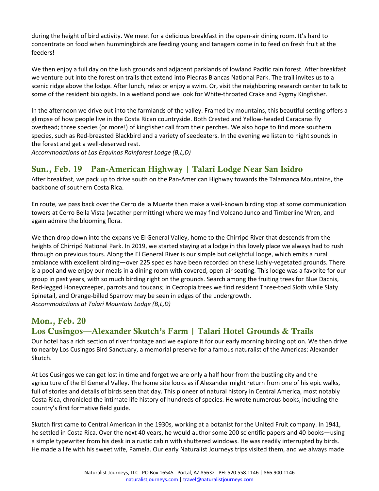during the height of bird activity. We meet for a delicious breakfast in the open-air dining room. It's hard to concentrate on food when hummingbirds are feeding young and tanagers come in to feed on fresh fruit at the feeders!

We then enjoy a full day on the lush grounds and adjacent parklands of lowland Pacific rain forest. After breakfast we venture out into the forest on trails that extend into Piedras Blancas National Park. The trail invites us to a scenic ridge above the lodge. After lunch, relax or enjoy a swim. Or, visit the neighboring research center to talk to some of the resident biologists. In a wetland pond we look for White-throated Crake and Pygmy Kingfisher.

In the afternoon we drive out into the farmlands of the valley. Framed by mountains, this beautiful setting offers a glimpse of how people live in the Costa Rican countryside. Both Crested and Yellow-headed Caracaras fly overhead; three species (or more!) of kingfisher call from their perches. We also hope to find more southern species, such as Red-breasted Blackbird and a variety of seedeaters. In the evening we listen to night sounds in the forest and get a well-deserved rest.

*Accommodations at Las Esquinas Rainforest Lodge (B,L,D)*

#### Sun., Feb. 19 Pan-American Highway | Talari Lodge Near San Isidro

After breakfast, we pack up to drive south on the Pan-American Highway towards the Talamanca Mountains, the backbone of southern Costa Rica.

En route, we pass back over the Cerro de la Muerte then make a well-known birding stop at some communication towers at Cerro Bella Vista (weather permitting) where we may find Volcano Junco and Timberline Wren, and again admire the blooming flora.

We then drop down into the expansive El General Valley, home to the Chirripó River that descends from the heights of Chirripó National Park. In 2019, we started staying at a lodge in this lovely place we always had to rush through on previous tours. Along the El General River is our simple but delightful lodge, which emits a rural ambiance with excellent birding—over 225 species have been recorded on these lushly-vegetated grounds. There is a pool and we enjoy our meals in a dining room with covered, open-air seating. This lodge was a favorite for our group in past years, with so much birding right on the grounds. Search among the fruiting trees for Blue Dacnis, Red-legged Honeycreeper, parrots and toucans; in Cecropia trees we find resident Three-toed Sloth while Slaty Spinetail, and Orange-billed Sparrow may be seen in edges of the undergrowth. *Accommodations at Talari Mountain Lodge (B,L,D)* 

#### Mon., Feb. 20

#### Los Cusingos—Alexander Skutch's Farm | Talari Hotel Grounds & Trails

Our hotel has a rich section of river frontage and we explore it for our early morning birding option. We then drive to nearby Los Cusingos Bird Sanctuary, a memorial preserve for a famous naturalist of the Americas: Alexander Skutch.

At Los Cusingos we can get lost in time and forget we are only a half hour from the bustling city and the agriculture of the El General Valley. The home site looks as if Alexander might return from one of his epic walks, full of stories and details of birds seen that day. This pioneer of natural history in Central America, most notably Costa Rica, chronicled the intimate life history of hundreds of species. He wrote numerous books, including the country's first formative field guide.

Skutch first came to Central American in the 1930s, working at a botanist for the United Fruit company. In 1941, he settled in Costa Rica. Over the next 40 years, he would author some 200 scientific papers and 40 books—using a simple typewriter from his desk in a rustic cabin with shuttered windows. He was readily interrupted by birds. He made a life with his sweet wife, Pamela. Our early Naturalist Journeys trips visited them, and we always made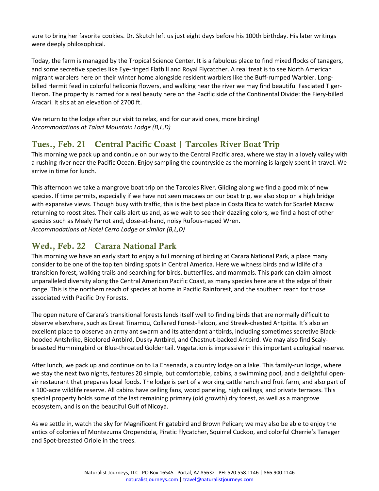sure to bring her favorite cookies. Dr. Skutch left us just eight days before his 100th birthday. His later writings were deeply philosophical.

Today, the farm is managed by the Tropical Science Center. It is a fabulous place to find mixed flocks of tanagers, and some secretive species like Eye-ringed Flatbill and Royal Flycatcher. A real treat is to see North American migrant warblers here on their winter home alongside resident warblers like the Buff-rumped Warbler. Longbilled Hermit feed in colorful heliconia flowers, and walking near the river we may find beautiful Fasciated Tiger-Heron. The property is named for a real beauty here on the Pacific side of the Continental Divide: the Fiery-billed Aracari. It sits at an elevation of 2700 ft.

We return to the lodge after our visit to relax, and for our avid ones, more birding! *Accommodations at Talari Mountain Lodge (B,L,D)*

#### Tues., Feb. 21 Central Pacific Coast | Tarcoles River Boat Trip

This morning we pack up and continue on our way to the Central Pacific area, where we stay in a lovely valley with a rushing river near the Pacific Ocean. Enjoy sampling the countryside as the morning is largely spent in travel. We arrive in time for lunch.

This afternoon we take a mangrove boat trip on the Tarcoles River. Gliding along we find a good mix of new species. If time permits, especially if we have not seen macaws on our boat trip, we also stop on a high bridge with expansive views. Though busy with traffic, this is the best place in Costa Rica to watch for Scarlet Macaw returning to roost sites. Their calls alert us and, as we wait to see their dazzling colors, we find a host of other species such as Mealy Parrot and, close-at-hand, noisy Rufous-naped Wren. *Accommodations at Hotel Cerro Lodge or similar (B,L,D)* 

#### Wed., Feb. 22 Carara National Park

This morning we have an early start to enjoy a full morning of birding at Carara National Park, a place many consider to be one of the top ten birding spots in Central America. Here we witness birds and wildlife of a transition forest, walking trails and searching for birds, butterflies, and mammals. This park can claim almost unparalleled diversity along the Central American Pacific Coast, as many species here are at the edge of their range. This is the northern reach of species at home in Pacific Rainforest, and the southern reach for those associated with Pacific Dry Forests.

The open nature of Carara's transitional forests lends itself well to finding birds that are normally difficult to observe elsewhere, such as Great Tinamou, Collared Forest-Falcon, and Streak-chested Antpitta. It's also an excellent place to observe an army ant swarm and its attendant antbirds, including sometimes secretive Blackhooded Antshrike, Bicolored Antbird, Dusky Antbird, and Chestnut-backed Antbird. We may also find Scalybreasted Hummingbird or Blue-throated Goldentail. Vegetation is impressive in this important ecological reserve.

After lunch, we pack up and continue on to La Ensenada, a country lodge on a lake. This family-run lodge, where we stay the next two nights, features 20 simple, but comfortable, cabins, a swimming pool, and a delightful openair restaurant that prepares local foods. The lodge is part of a working cattle ranch and fruit farm, and also part of a 100-acre wildlife reserve. All cabins have ceiling fans, wood paneling, high ceilings, and private terraces. This special property holds some of the last remaining primary (old growth) dry forest, as well as a mangrove ecosystem, and is on the beautiful Gulf of Nicoya.

As we settle in, watch the sky for Magnificent Frigatebird and Brown Pelican; we may also be able to enjoy the antics of colonies of Montezuma Oropendola, Piratic Flycatcher, Squirrel Cuckoo, and colorful Cherrie's Tanager and Spot-breasted Oriole in the trees.